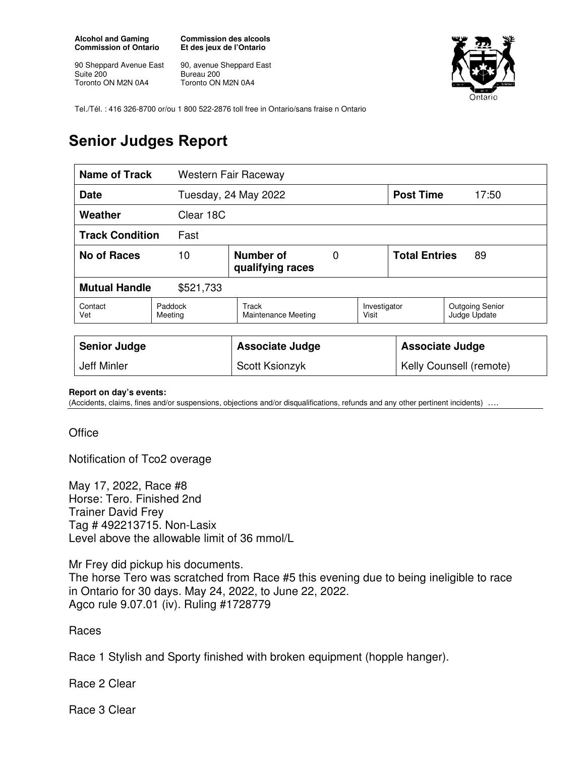**Alcohol and Gaming Commission of Ontario** 

90 Sheppard Avenue East Suite 200 Toronto ON M2N 0A4

**Commission des alcools Et des jeux de l'Ontario** 

90, avenue Sheppard East Bureau 200 Toronto ON M2N 0A4



Tel./Tél. : 416 326-8700 or/ou 1 800 522-2876 toll free in Ontario/sans fraise n Ontario

## **Senior Judges Report**

| <b>Name of Track</b><br>Western Fair Raceway |                                          |                                     |  |                            |                        |                                        |
|----------------------------------------------|------------------------------------------|-------------------------------------|--|----------------------------|------------------------|----------------------------------------|
| <b>Date</b>                                  |                                          | Tuesday, 24 May 2022                |  |                            | <b>Post Time</b>       | 17:50                                  |
| Weather                                      | Clear 18C                                |                                     |  |                            |                        |                                        |
| <b>Track Condition</b><br>Fast               |                                          |                                     |  |                            |                        |                                        |
| <b>No of Races</b>                           | Number of<br>10<br>0<br>qualifying races |                                     |  | <b>Total Entries</b><br>89 |                        |                                        |
| <b>Mutual Handle</b><br>\$521,733            |                                          |                                     |  |                            |                        |                                        |
| Contact<br>Vet                               | Paddock<br>Meeting                       | Track<br><b>Maintenance Meeting</b> |  | Investigator<br>Visit      |                        | <b>Outgoing Senior</b><br>Judge Update |
|                                              |                                          |                                     |  |                            |                        |                                        |
| <b>Senior Judge</b>                          |                                          | <b>Associate Judge</b>              |  |                            | <b>Associate Judge</b> |                                        |
| <b>Jeff Minler</b>                           |                                          | Scott Ksionzyk                      |  | Kelly Counsell (remote)    |                        |                                        |

**Report on day's events:** 

(Accidents, claims, fines and/or suspensions, objections and/or disqualifications, refunds and any other pertinent incidents) ….

**Office** 

Notification of Tco2 overage

May 17, 2022, Race #8 Horse: Tero. Finished 2nd Trainer David Frey Tag # 492213715. Non-Lasix Level above the allowable limit of 36 mmol/L

Mr Frey did pickup his documents.

The horse Tero was scratched from Race #5 this evening due to being ineligible to race in Ontario for 30 days. May 24, 2022, to June 22, 2022. Agco rule 9.07.01 (iv). Ruling #1728779

Races

Race 1 Stylish and Sporty finished with broken equipment (hopple hanger).

Race 2 Clear

Race 3 Clear